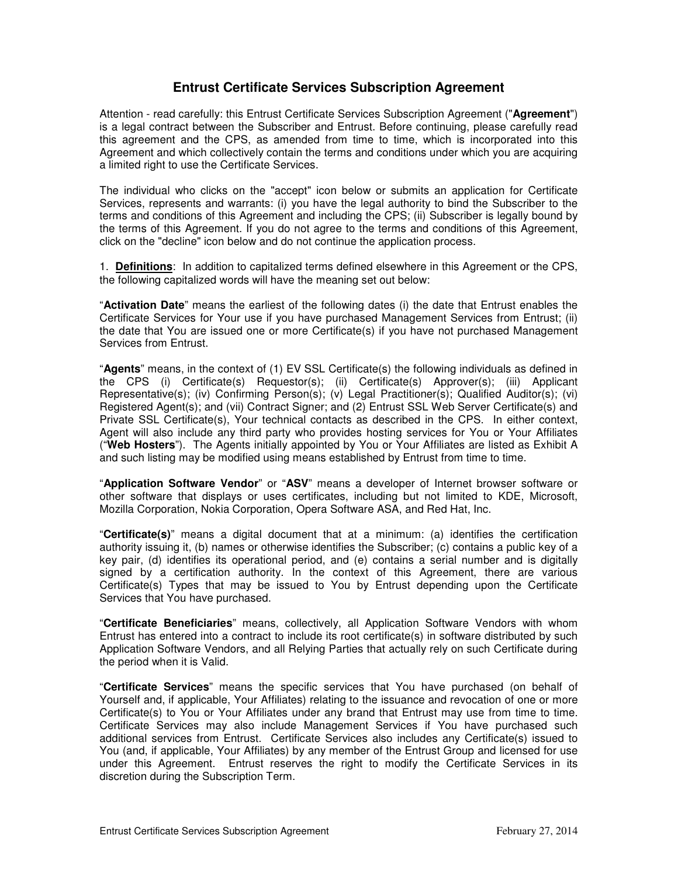# **Entrust Certificate Services Subscription Agreement**

Attention - read carefully: this Entrust Certificate Services Subscription Agreement ("**Agreement**") is a legal contract between the Subscriber and Entrust. Before continuing, please carefully read this agreement and the CPS, as amended from time to time, which is incorporated into this Agreement and which collectively contain the terms and conditions under which you are acquiring a limited right to use the Certificate Services.

The individual who clicks on the "accept" icon below or submits an application for Certificate Services, represents and warrants: (i) you have the legal authority to bind the Subscriber to the terms and conditions of this Agreement and including the CPS; (ii) Subscriber is legally bound by the terms of this Agreement. If you do not agree to the terms and conditions of this Agreement, click on the "decline" icon below and do not continue the application process.

1. **Definitions**: In addition to capitalized terms defined elsewhere in this Agreement or the CPS, the following capitalized words will have the meaning set out below:

"**Activation Date**" means the earliest of the following dates (i) the date that Entrust enables the Certificate Services for Your use if you have purchased Management Services from Entrust; (ii) the date that You are issued one or more Certificate(s) if you have not purchased Management Services from Entrust.

"**Agents**" means, in the context of (1) EV SSL Certificate(s) the following individuals as defined in the CPS (i) Certificate(s) Requestor(s); (ii) Certificate(s) Approver(s); (iii) Applicant Representative(s); (iv) Confirming Person(s); (v) Legal Practitioner(s); Qualified Auditor(s); (vi) Registered Agent(s); and (vii) Contract Signer; and (2) Entrust SSL Web Server Certificate(s) and Private SSL Certificate(s), Your technical contacts as described in the CPS. In either context, Agent will also include any third party who provides hosting services for You or Your Affiliates ("**Web Hosters**"). The Agents initially appointed by You or Your Affiliates are listed as Exhibit A and such listing may be modified using means established by Entrust from time to time.

"**Application Software Vendor**" or "**ASV**" means a developer of Internet browser software or other software that displays or uses certificates, including but not limited to KDE, Microsoft, Mozilla Corporation, Nokia Corporation, Opera Software ASA, and Red Hat, Inc.

"**Certificate(s)**" means a digital document that at a minimum: (a) identifies the certification authority issuing it, (b) names or otherwise identifies the Subscriber; (c) contains a public key of a key pair, (d) identifies its operational period, and (e) contains a serial number and is digitally signed by a certification authority. In the context of this Agreement, there are various Certificate(s) Types that may be issued to You by Entrust depending upon the Certificate Services that You have purchased.

"**Certificate Beneficiaries**" means, collectively, all Application Software Vendors with whom Entrust has entered into a contract to include its root certificate(s) in software distributed by such Application Software Vendors, and all Relying Parties that actually rely on such Certificate during the period when it is Valid.

"**Certificate Services**" means the specific services that You have purchased (on behalf of Yourself and, if applicable, Your Affiliates) relating to the issuance and revocation of one or more Certificate(s) to You or Your Affiliates under any brand that Entrust may use from time to time. Certificate Services may also include Management Services if You have purchased such additional services from Entrust. Certificate Services also includes any Certificate(s) issued to You (and, if applicable, Your Affiliates) by any member of the Entrust Group and licensed for use under this Agreement. Entrust reserves the right to modify the Certificate Services in its discretion during the Subscription Term.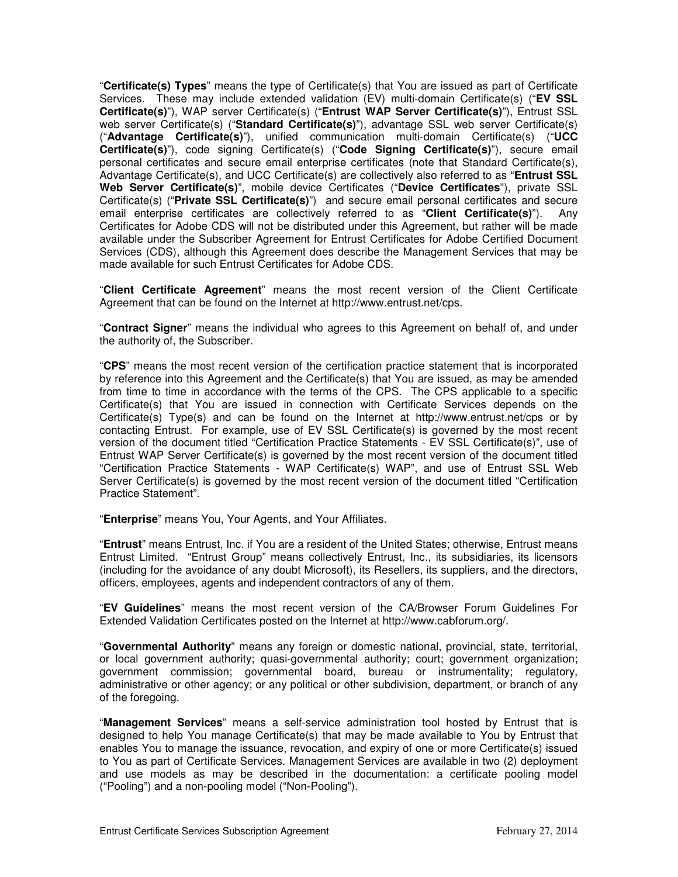"**Certificate(s) Types**" means the type of Certificate(s) that You are issued as part of Certificate Services. These may include extended validation (EV) multi-domain Certificate(s) ("**EV SSL Certificate(s)**"), WAP server Certificate(s) ("**Entrust WAP Server Certificate(s)**"), Entrust SSL web server Certificate(s) ("**Standard Certificate(s)**"), advantage SSL web server Certificate(s) ("**Advantage Certificate(s)**"), unified communication multi-domain Certificate(s) ("**UCC Certificate(s)**"), code signing Certificate(s) ("**Code Signing Certificate(s)**"), secure email personal certificates and secure email enterprise certificates (note that Standard Certificate(s), Advantage Certificate(s), and UCC Certificate(s) are collectively also referred to as "**Entrust SSL Web Server Certificate(s)**", mobile device Certificates ("**Device Certificates**"), private SSL Certificate(s) ("**Private SSL Certificate(s)**") and secure email personal certificates and secure email enterprise certificates are collectively referred to as "**Client Certificate(s)**"). Any Certificates for Adobe CDS will not be distributed under this Agreement, but rather will be made available under the Subscriber Agreement for Entrust Certificates for Adobe Certified Document Services (CDS), although this Agreement does describe the Management Services that may be made available for such Entrust Certificates for Adobe CDS.

"**Client Certificate Agreement**" means the most recent version of the Client Certificate Agreement that can be found on the Internet at http://www.entrust.net/cps.

"**Contract Signer**" means the individual who agrees to this Agreement on behalf of, and under the authority of, the Subscriber.

"**CPS**" means the most recent version of the certification practice statement that is incorporated by reference into this Agreement and the Certificate(s) that You are issued, as may be amended from time to time in accordance with the terms of the CPS. The CPS applicable to a specific Certificate(s) that You are issued in connection with Certificate Services depends on the Certificate(s) Type(s) and can be found on the Internet at http://www.entrust.net/cps or by contacting Entrust. For example, use of EV SSL Certificate(s) is governed by the most recent version of the document titled "Certification Practice Statements - EV SSL Certificate(s)", use of Entrust WAP Server Certificate(s) is governed by the most recent version of the document titled "Certification Practice Statements - WAP Certificate(s) WAP", and use of Entrust SSL Web Server Certificate(s) is governed by the most recent version of the document titled "Certification Practice Statement".

"**Enterprise**" means You, Your Agents, and Your Affiliates.

"**Entrust**" means Entrust, Inc. if You are a resident of the United States; otherwise, Entrust means Entrust Limited. "Entrust Group" means collectively Entrust, Inc., its subsidiaries, its licensors (including for the avoidance of any doubt Microsoft), its Resellers, its suppliers, and the directors, officers, employees, agents and independent contractors of any of them.

"**EV Guidelines**" means the most recent version of the CA/Browser Forum Guidelines For Extended Validation Certificates posted on the Internet at http://www.cabforum.org/.

"**Governmental Authority**" means any foreign or domestic national, provincial, state, territorial, or local government authority; quasi-governmental authority; court; government organization; government commission; governmental board, bureau or instrumentality; regulatory, administrative or other agency; or any political or other subdivision, department, or branch of any of the foregoing.

"**Management Services**" means a self-service administration tool hosted by Entrust that is designed to help You manage Certificate(s) that may be made available to You by Entrust that enables You to manage the issuance, revocation, and expiry of one or more Certificate(s) issued to You as part of Certificate Services. Management Services are available in two (2) deployment and use models as may be described in the documentation: a certificate pooling model ("Pooling") and a non-pooling model ("Non-Pooling").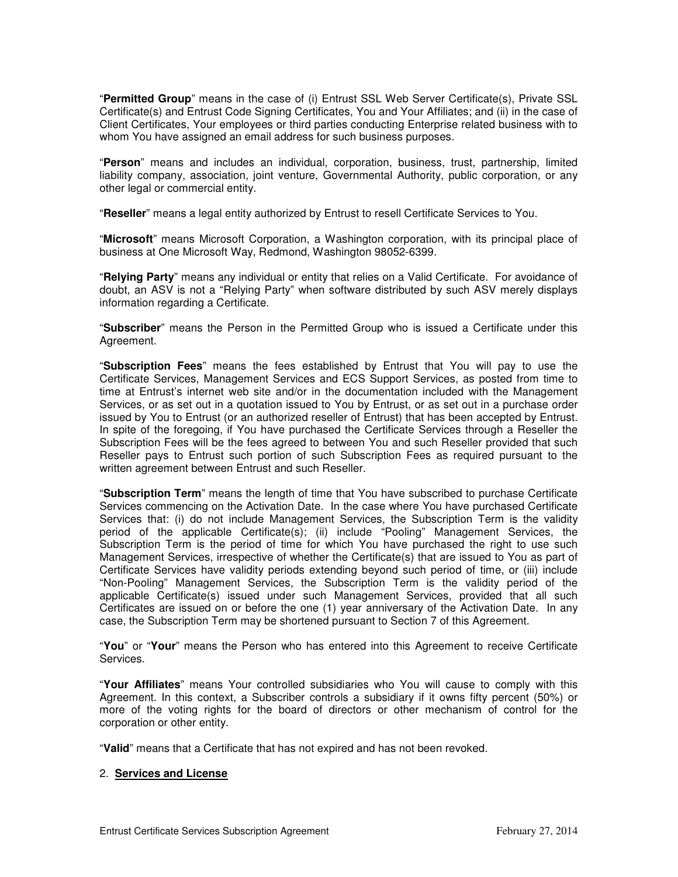"**Permitted Group**" means in the case of (i) Entrust SSL Web Server Certificate(s), Private SSL Certificate(s) and Entrust Code Signing Certificates, You and Your Affiliates; and (ii) in the case of Client Certificates, Your employees or third parties conducting Enterprise related business with to whom You have assigned an email address for such business purposes.

"**Person**" means and includes an individual, corporation, business, trust, partnership, limited liability company, association, joint venture, Governmental Authority, public corporation, or any other legal or commercial entity.

"**Reseller**" means a legal entity authorized by Entrust to resell Certificate Services to You.

"**Microsoft**" means Microsoft Corporation, a Washington corporation, with its principal place of business at One Microsoft Way, Redmond, Washington 98052-6399.

"**Relying Party**" means any individual or entity that relies on a Valid Certificate. For avoidance of doubt, an ASV is not a "Relying Party" when software distributed by such ASV merely displays information regarding a Certificate.

"**Subscriber**" means the Person in the Permitted Group who is issued a Certificate under this Agreement.

"**Subscription Fees**" means the fees established by Entrust that You will pay to use the Certificate Services, Management Services and ECS Support Services, as posted from time to time at Entrust's internet web site and/or in the documentation included with the Management Services, or as set out in a quotation issued to You by Entrust, or as set out in a purchase order issued by You to Entrust (or an authorized reseller of Entrust) that has been accepted by Entrust. In spite of the foregoing, if You have purchased the Certificate Services through a Reseller the Subscription Fees will be the fees agreed to between You and such Reseller provided that such Reseller pays to Entrust such portion of such Subscription Fees as required pursuant to the written agreement between Entrust and such Reseller.

"**Subscription Term**" means the length of time that You have subscribed to purchase Certificate Services commencing on the Activation Date. In the case where You have purchased Certificate Services that: (i) do not include Management Services, the Subscription Term is the validity period of the applicable Certificate(s); (ii) include "Pooling" Management Services, the Subscription Term is the period of time for which You have purchased the right to use such Management Services, irrespective of whether the Certificate(s) that are issued to You as part of Certificate Services have validity periods extending beyond such period of time, or (iii) include "Non-Pooling" Management Services, the Subscription Term is the validity period of the applicable Certificate(s) issued under such Management Services, provided that all such Certificates are issued on or before the one (1) year anniversary of the Activation Date. In any case, the Subscription Term may be shortened pursuant to Section 7 of this Agreement.

"**You**" or "**Your**" means the Person who has entered into this Agreement to receive Certificate Services.

"**Your Affiliates**" means Your controlled subsidiaries who You will cause to comply with this Agreement. In this context, a Subscriber controls a subsidiary if it owns fifty percent (50%) or more of the voting rights for the board of directors or other mechanism of control for the corporation or other entity.

"**Valid**" means that a Certificate that has not expired and has not been revoked.

### 2. **Services and License**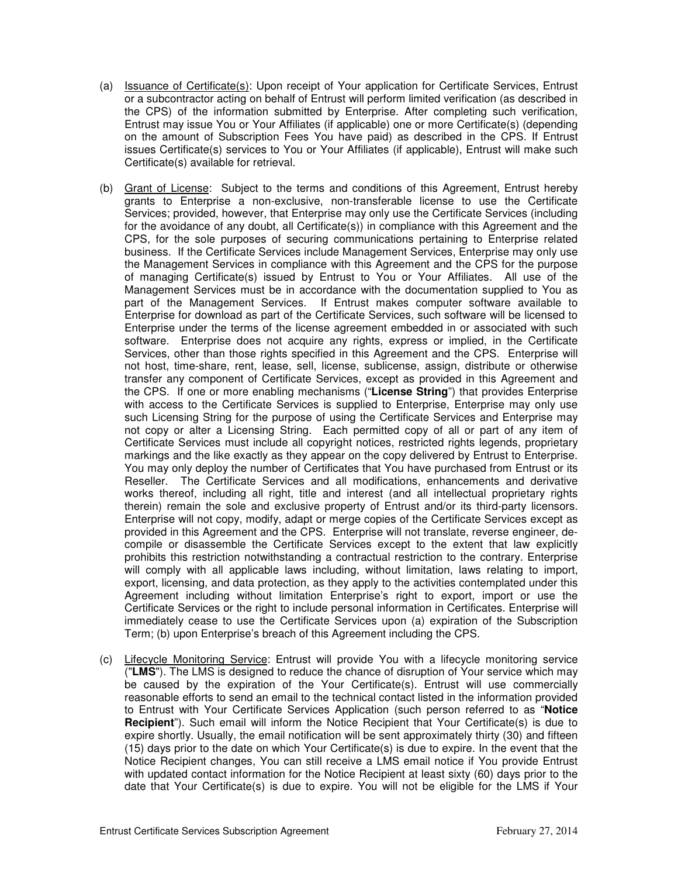- (a) Issuance of Certificate(s): Upon receipt of Your application for Certificate Services, Entrust or a subcontractor acting on behalf of Entrust will perform limited verification (as described in the CPS) of the information submitted by Enterprise. After completing such verification, Entrust may issue You or Your Affiliates (if applicable) one or more Certificate(s) (depending on the amount of Subscription Fees You have paid) as described in the CPS. If Entrust issues Certificate(s) services to You or Your Affiliates (if applicable), Entrust will make such Certificate(s) available for retrieval.
- (b) Grant of License: Subject to the terms and conditions of this Agreement, Entrust hereby grants to Enterprise a non-exclusive, non-transferable license to use the Certificate Services; provided, however, that Enterprise may only use the Certificate Services (including for the avoidance of any doubt, all Certificate(s)) in compliance with this Agreement and the CPS, for the sole purposes of securing communications pertaining to Enterprise related business. If the Certificate Services include Management Services, Enterprise may only use the Management Services in compliance with this Agreement and the CPS for the purpose of managing Certificate(s) issued by Entrust to You or Your Affiliates. All use of the Management Services must be in accordance with the documentation supplied to You as part of the Management Services. If Entrust makes computer software available to Enterprise for download as part of the Certificate Services, such software will be licensed to Enterprise under the terms of the license agreement embedded in or associated with such software. Enterprise does not acquire any rights, express or implied, in the Certificate Services, other than those rights specified in this Agreement and the CPS. Enterprise will not host, time-share, rent, lease, sell, license, sublicense, assign, distribute or otherwise transfer any component of Certificate Services, except as provided in this Agreement and the CPS. If one or more enabling mechanisms ("**License String**") that provides Enterprise with access to the Certificate Services is supplied to Enterprise, Enterprise may only use such Licensing String for the purpose of using the Certificate Services and Enterprise may not copy or alter a Licensing String. Each permitted copy of all or part of any item of Certificate Services must include all copyright notices, restricted rights legends, proprietary markings and the like exactly as they appear on the copy delivered by Entrust to Enterprise. You may only deploy the number of Certificates that You have purchased from Entrust or its Reseller. The Certificate Services and all modifications, enhancements and derivative works thereof, including all right, title and interest (and all intellectual proprietary rights therein) remain the sole and exclusive property of Entrust and/or its third-party licensors. Enterprise will not copy, modify, adapt or merge copies of the Certificate Services except as provided in this Agreement and the CPS. Enterprise will not translate, reverse engineer, decompile or disassemble the Certificate Services except to the extent that law explicitly prohibits this restriction notwithstanding a contractual restriction to the contrary. Enterprise will comply with all applicable laws including, without limitation, laws relating to import, export, licensing, and data protection, as they apply to the activities contemplated under this Agreement including without limitation Enterprise's right to export, import or use the Certificate Services or the right to include personal information in Certificates. Enterprise will immediately cease to use the Certificate Services upon (a) expiration of the Subscription Term; (b) upon Enterprise's breach of this Agreement including the CPS.
- (c) Lifecycle Monitoring Service: Entrust will provide You with a lifecycle monitoring service ("**LMS**"). The LMS is designed to reduce the chance of disruption of Your service which may be caused by the expiration of the Your Certificate(s). Entrust will use commercially reasonable efforts to send an email to the technical contact listed in the information provided to Entrust with Your Certificate Services Application (such person referred to as "**Notice Recipient**"). Such email will inform the Notice Recipient that Your Certificate(s) is due to expire shortly. Usually, the email notification will be sent approximately thirty (30) and fifteen (15) days prior to the date on which Your Certificate(s) is due to expire. In the event that the Notice Recipient changes, You can still receive a LMS email notice if You provide Entrust with updated contact information for the Notice Recipient at least sixty (60) days prior to the date that Your Certificate(s) is due to expire. You will not be eligible for the LMS if Your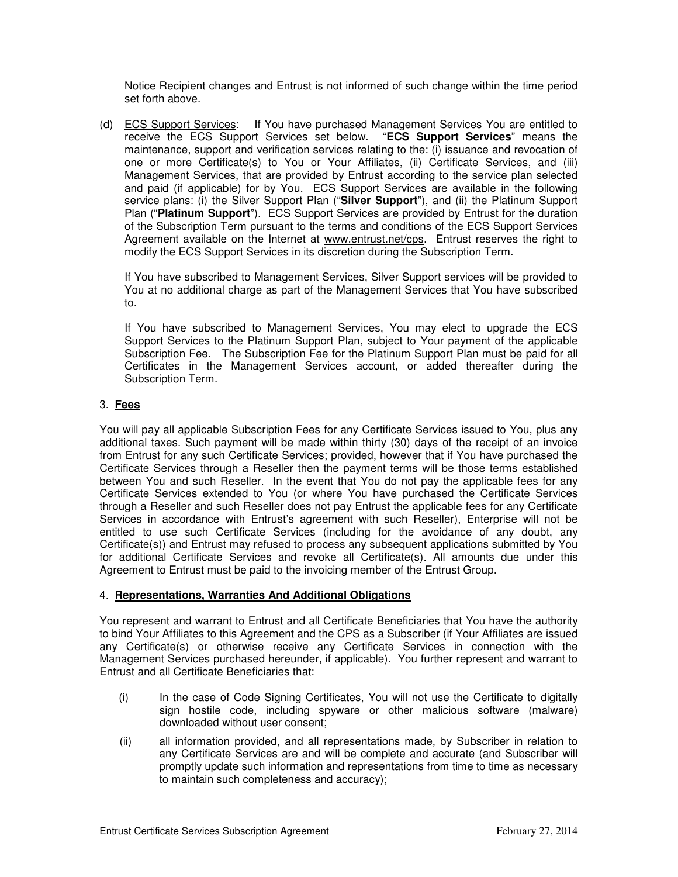Notice Recipient changes and Entrust is not informed of such change within the time period set forth above.

(d) ECS Support Services: If You have purchased Management Services You are entitled to receive the ECS Support Services set below. "**ECS Support Services**" means the maintenance, support and verification services relating to the: (i) issuance and revocation of one or more Certificate(s) to You or Your Affiliates, (ii) Certificate Services, and (iii) Management Services, that are provided by Entrust according to the service plan selected and paid (if applicable) for by You. ECS Support Services are available in the following service plans: (i) the Silver Support Plan ("**Silver Support**"), and (ii) the Platinum Support Plan ("**Platinum Support**"). ECS Support Services are provided by Entrust for the duration of the Subscription Term pursuant to the terms and conditions of the ECS Support Services Agreement available on the Internet at www.entrust.net/cps. Entrust reserves the right to modify the ECS Support Services in its discretion during the Subscription Term.

If You have subscribed to Management Services, Silver Support services will be provided to You at no additional charge as part of the Management Services that You have subscribed to.

If You have subscribed to Management Services, You may elect to upgrade the ECS Support Services to the Platinum Support Plan, subject to Your payment of the applicable Subscription Fee. The Subscription Fee for the Platinum Support Plan must be paid for all Certificates in the Management Services account, or added thereafter during the Subscription Term.

## 3. **Fees**

You will pay all applicable Subscription Fees for any Certificate Services issued to You, plus any additional taxes. Such payment will be made within thirty (30) days of the receipt of an invoice from Entrust for any such Certificate Services; provided, however that if You have purchased the Certificate Services through a Reseller then the payment terms will be those terms established between You and such Reseller. In the event that You do not pay the applicable fees for any Certificate Services extended to You (or where You have purchased the Certificate Services through a Reseller and such Reseller does not pay Entrust the applicable fees for any Certificate Services in accordance with Entrust's agreement with such Reseller), Enterprise will not be entitled to use such Certificate Services (including for the avoidance of any doubt, any Certificate(s)) and Entrust may refused to process any subsequent applications submitted by You for additional Certificate Services and revoke all Certificate(s). All amounts due under this Agreement to Entrust must be paid to the invoicing member of the Entrust Group.

## 4. **Representations, Warranties And Additional Obligations**

You represent and warrant to Entrust and all Certificate Beneficiaries that You have the authority to bind Your Affiliates to this Agreement and the CPS as a Subscriber (if Your Affiliates are issued any Certificate(s) or otherwise receive any Certificate Services in connection with the Management Services purchased hereunder, if applicable). You further represent and warrant to Entrust and all Certificate Beneficiaries that:

- (i) In the case of Code Signing Certificates, You will not use the Certificate to digitally sign hostile code, including spyware or other malicious software (malware) downloaded without user consent;
- (ii) all information provided, and all representations made, by Subscriber in relation to any Certificate Services are and will be complete and accurate (and Subscriber will promptly update such information and representations from time to time as necessary to maintain such completeness and accuracy);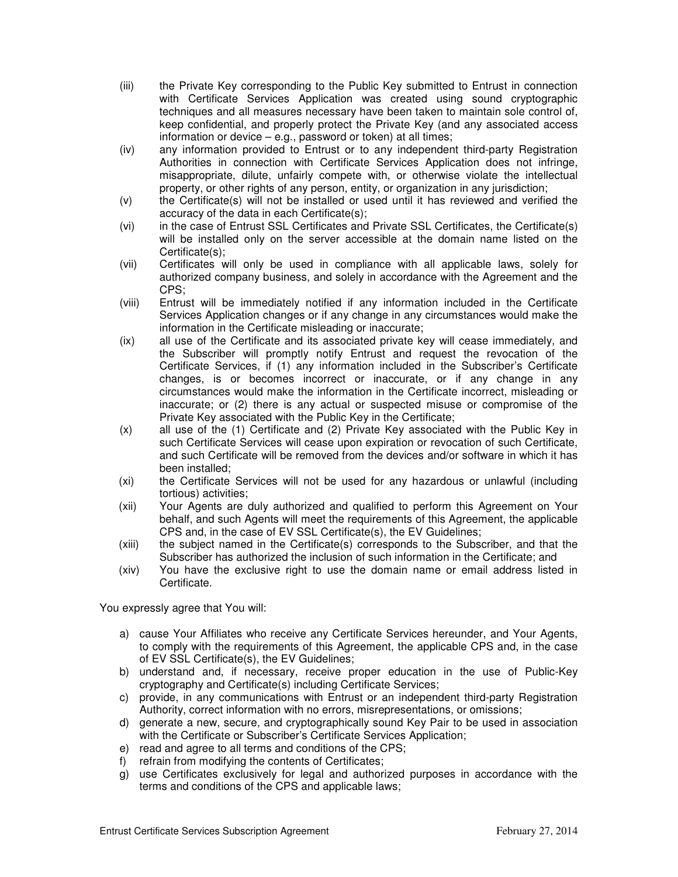- (iii) the Private Key corresponding to the Public Key submitted to Entrust in connection with Certificate Services Application was created using sound cryptographic techniques and all measures necessary have been taken to maintain sole control of, keep confidential, and properly protect the Private Key (and any associated access information or device – e.g., password or token) at all times;
- (iv) any information provided to Entrust or to any independent third-party Registration Authorities in connection with Certificate Services Application does not infringe, misappropriate, dilute, unfairly compete with, or otherwise violate the intellectual property, or other rights of any person, entity, or organization in any jurisdiction;
- (v) the Certificate(s) will not be installed or used until it has reviewed and verified the accuracy of the data in each Certificate(s);
- (vi) in the case of Entrust SSL Certificates and Private SSL Certificates, the Certificate(s) will be installed only on the server accessible at the domain name listed on the Certificate(s);
- (vii) Certificates will only be used in compliance with all applicable laws, solely for authorized company business, and solely in accordance with the Agreement and the CPS;
- (viii) Entrust will be immediately notified if any information included in the Certificate Services Application changes or if any change in any circumstances would make the information in the Certificate misleading or inaccurate;
- (ix) all use of the Certificate and its associated private key will cease immediately, and the Subscriber will promptly notify Entrust and request the revocation of the Certificate Services, if (1) any information included in the Subscriber's Certificate changes, is or becomes incorrect or inaccurate, or if any change in any circumstances would make the information in the Certificate incorrect, misleading or inaccurate; or (2) there is any actual or suspected misuse or compromise of the Private Key associated with the Public Key in the Certificate;
- (x) all use of the (1) Certificate and (2) Private Key associated with the Public Key in such Certificate Services will cease upon expiration or revocation of such Certificate, and such Certificate will be removed from the devices and/or software in which it has been installed;
- (xi) the Certificate Services will not be used for any hazardous or unlawful (including tortious) activities;
- (xii) Your Agents are duly authorized and qualified to perform this Agreement on Your behalf, and such Agents will meet the requirements of this Agreement, the applicable CPS and, in the case of EV SSL Certificate(s), the EV Guidelines;
- (xiii) the subject named in the Certificate(s) corresponds to the Subscriber, and that the Subscriber has authorized the inclusion of such information in the Certificate; and
- (xiv) You have the exclusive right to use the domain name or email address listed in Certificate.

You expressly agree that You will:

- a) cause Your Affiliates who receive any Certificate Services hereunder, and Your Agents, to comply with the requirements of this Agreement, the applicable CPS and, in the case of EV SSL Certificate(s), the EV Guidelines;
- b) understand and, if necessary, receive proper education in the use of Public-Key cryptography and Certificate(s) including Certificate Services;
- c) provide, in any communications with Entrust or an independent third-party Registration Authority, correct information with no errors, misrepresentations, or omissions;
- d) generate a new, secure, and cryptographically sound Key Pair to be used in association with the Certificate or Subscriber's Certificate Services Application;
- e) read and agree to all terms and conditions of the CPS;
- f) refrain from modifying the contents of Certificates;
- g) use Certificates exclusively for legal and authorized purposes in accordance with the terms and conditions of the CPS and applicable laws;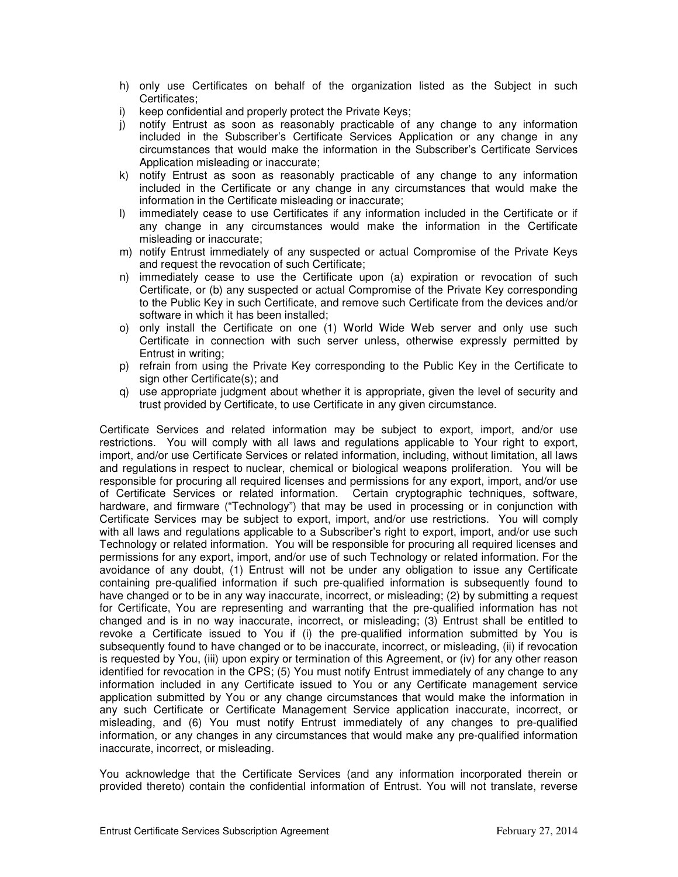- h) only use Certificates on behalf of the organization listed as the Subject in such Certificates;
- i) keep confidential and properly protect the Private Keys;
- j) notify Entrust as soon as reasonably practicable of any change to any information included in the Subscriber's Certificate Services Application or any change in any circumstances that would make the information in the Subscriber's Certificate Services Application misleading or inaccurate;
- k) notify Entrust as soon as reasonably practicable of any change to any information included in the Certificate or any change in any circumstances that would make the information in the Certificate misleading or inaccurate;
- l) immediately cease to use Certificates if any information included in the Certificate or if any change in any circumstances would make the information in the Certificate misleading or inaccurate;
- m) notify Entrust immediately of any suspected or actual Compromise of the Private Keys and request the revocation of such Certificate;
- n) immediately cease to use the Certificate upon (a) expiration or revocation of such Certificate, or (b) any suspected or actual Compromise of the Private Key corresponding to the Public Key in such Certificate, and remove such Certificate from the devices and/or software in which it has been installed;
- o) only install the Certificate on one (1) World Wide Web server and only use such Certificate in connection with such server unless, otherwise expressly permitted by Entrust in writing;
- p) refrain from using the Private Key corresponding to the Public Key in the Certificate to sign other Certificate(s); and
- q) use appropriate judgment about whether it is appropriate, given the level of security and trust provided by Certificate, to use Certificate in any given circumstance.

Certificate Services and related information may be subject to export, import, and/or use restrictions. You will comply with all laws and regulations applicable to Your right to export, import, and/or use Certificate Services or related information, including, without limitation, all laws and regulations in respect to nuclear, chemical or biological weapons proliferation. You will be responsible for procuring all required licenses and permissions for any export, import, and/or use of Certificate Services or related information. Certain cryptographic techniques, software, hardware, and firmware ("Technology") that may be used in processing or in conjunction with Certificate Services may be subject to export, import, and/or use restrictions. You will comply with all laws and regulations applicable to a Subscriber's right to export, import, and/or use such Technology or related information. You will be responsible for procuring all required licenses and permissions for any export, import, and/or use of such Technology or related information. For the avoidance of any doubt, (1) Entrust will not be under any obligation to issue any Certificate containing pre-qualified information if such pre-qualified information is subsequently found to have changed or to be in any way inaccurate, incorrect, or misleading; (2) by submitting a request for Certificate, You are representing and warranting that the pre-qualified information has not changed and is in no way inaccurate, incorrect, or misleading; (3) Entrust shall be entitled to revoke a Certificate issued to You if (i) the pre-qualified information submitted by You is subsequently found to have changed or to be inaccurate, incorrect, or misleading, (ii) if revocation is requested by You, (iii) upon expiry or termination of this Agreement, or (iv) for any other reason identified for revocation in the CPS; (5) You must notify Entrust immediately of any change to any information included in any Certificate issued to You or any Certificate management service application submitted by You or any change circumstances that would make the information in any such Certificate or Certificate Management Service application inaccurate, incorrect, or misleading, and (6) You must notify Entrust immediately of any changes to pre-qualified information, or any changes in any circumstances that would make any pre-qualified information inaccurate, incorrect, or misleading.

You acknowledge that the Certificate Services (and any information incorporated therein or provided thereto) contain the confidential information of Entrust. You will not translate, reverse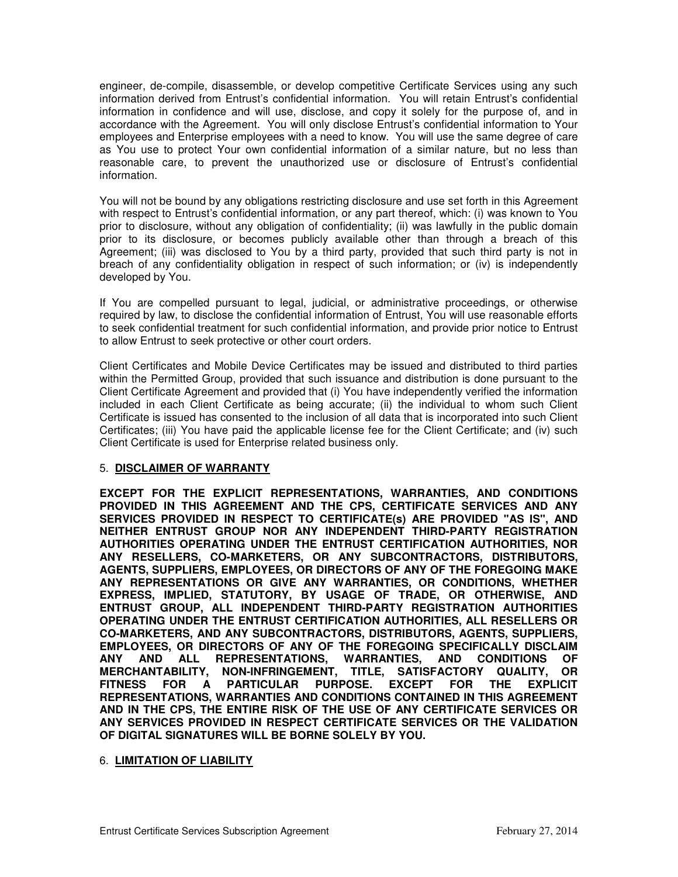engineer, de-compile, disassemble, or develop competitive Certificate Services using any such information derived from Entrust's confidential information. You will retain Entrust's confidential information in confidence and will use, disclose, and copy it solely for the purpose of, and in accordance with the Agreement. You will only disclose Entrust's confidential information to Your employees and Enterprise employees with a need to know. You will use the same degree of care as You use to protect Your own confidential information of a similar nature, but no less than reasonable care, to prevent the unauthorized use or disclosure of Entrust's confidential information.

You will not be bound by any obligations restricting disclosure and use set forth in this Agreement with respect to Entrust's confidential information, or any part thereof, which: (i) was known to You prior to disclosure, without any obligation of confidentiality; (ii) was lawfully in the public domain prior to its disclosure, or becomes publicly available other than through a breach of this Agreement; (iii) was disclosed to You by a third party, provided that such third party is not in breach of any confidentiality obligation in respect of such information; or (iv) is independently developed by You.

If You are compelled pursuant to legal, judicial, or administrative proceedings, or otherwise required by law, to disclose the confidential information of Entrust, You will use reasonable efforts to seek confidential treatment for such confidential information, and provide prior notice to Entrust to allow Entrust to seek protective or other court orders.

Client Certificates and Mobile Device Certificates may be issued and distributed to third parties within the Permitted Group, provided that such issuance and distribution is done pursuant to the Client Certificate Agreement and provided that (i) You have independently verified the information included in each Client Certificate as being accurate; (ii) the individual to whom such Client Certificate is issued has consented to the inclusion of all data that is incorporated into such Client Certificates; (iii) You have paid the applicable license fee for the Client Certificate; and (iv) such Client Certificate is used for Enterprise related business only.

#### 5. **DISCLAIMER OF WARRANTY**

**EXCEPT FOR THE EXPLICIT REPRESENTATIONS, WARRANTIES, AND CONDITIONS PROVIDED IN THIS AGREEMENT AND THE CPS, CERTIFICATE SERVICES AND ANY SERVICES PROVIDED IN RESPECT TO CERTIFICATE(s) ARE PROVIDED "AS IS", AND NEITHER ENTRUST GROUP NOR ANY INDEPENDENT THIRD-PARTY REGISTRATION AUTHORITIES OPERATING UNDER THE ENTRUST CERTIFICATION AUTHORITIES, NOR ANY RESELLERS, CO-MARKETERS, OR ANY SUBCONTRACTORS, DISTRIBUTORS, AGENTS, SUPPLIERS, EMPLOYEES, OR DIRECTORS OF ANY OF THE FOREGOING MAKE ANY REPRESENTATIONS OR GIVE ANY WARRANTIES, OR CONDITIONS, WHETHER EXPRESS, IMPLIED, STATUTORY, BY USAGE OF TRADE, OR OTHERWISE, AND ENTRUST GROUP, ALL INDEPENDENT THIRD-PARTY REGISTRATION AUTHORITIES OPERATING UNDER THE ENTRUST CERTIFICATION AUTHORITIES, ALL RESELLERS OR CO-MARKETERS, AND ANY SUBCONTRACTORS, DISTRIBUTORS, AGENTS, SUPPLIERS, EMPLOYEES, OR DIRECTORS OF ANY OF THE FOREGOING SPECIFICALLY DISCLAIM ANY AND ALL REPRESENTATIONS, WARRANTIES, AND CONDITIONS OF MERCHANTABILITY, NON-INFRINGEMENT, TITLE, SATISFACTORY QUALITY, OR FITNESS FOR A PARTICULAR PURPOSE. EXCEPT FOR THE EXPLICIT REPRESENTATIONS, WARRANTIES AND CONDITIONS CONTAINED IN THIS AGREEMENT AND IN THE CPS, THE ENTIRE RISK OF THE USE OF ANY CERTIFICATE SERVICES OR ANY SERVICES PROVIDED IN RESPECT CERTIFICATE SERVICES OR THE VALIDATION OF DIGITAL SIGNATURES WILL BE BORNE SOLELY BY YOU.**

#### 6. **LIMITATION OF LIABILITY**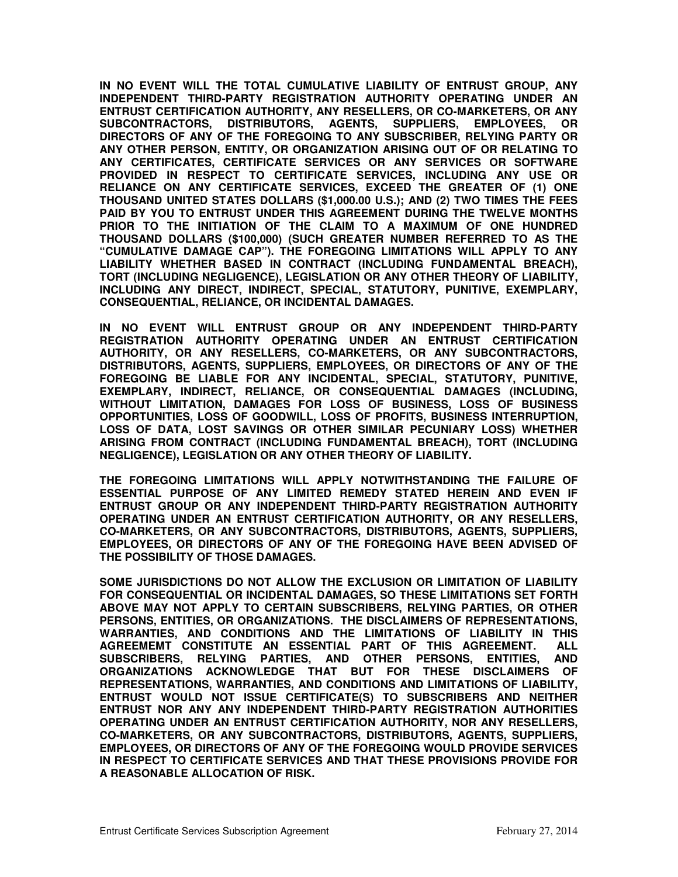**IN NO EVENT WILL THE TOTAL CUMULATIVE LIABILITY OF ENTRUST GROUP, ANY INDEPENDENT THIRD-PARTY REGISTRATION AUTHORITY OPERATING UNDER AN ENTRUST CERTIFICATION AUTHORITY, ANY RESELLERS, OR CO-MARKETERS, OR ANY SUBCONTRACTORS, DISTRIBUTORS, AGENTS, SUPPLIERS, EMPLOYEES, OR DIRECTORS OF ANY OF THE FOREGOING TO ANY SUBSCRIBER, RELYING PARTY OR ANY OTHER PERSON, ENTITY, OR ORGANIZATION ARISING OUT OF OR RELATING TO ANY CERTIFICATES, CERTIFICATE SERVICES OR ANY SERVICES OR SOFTWARE PROVIDED IN RESPECT TO CERTIFICATE SERVICES, INCLUDING ANY USE OR RELIANCE ON ANY CERTIFICATE SERVICES, EXCEED THE GREATER OF (1) ONE THOUSAND UNITED STATES DOLLARS (\$1,000.00 U.S.); AND (2) TWO TIMES THE FEES PAID BY YOU TO ENTRUST UNDER THIS AGREEMENT DURING THE TWELVE MONTHS PRIOR TO THE INITIATION OF THE CLAIM TO A MAXIMUM OF ONE HUNDRED THOUSAND DOLLARS (\$100,000) (SUCH GREATER NUMBER REFERRED TO AS THE "CUMULATIVE DAMAGE CAP"). THE FOREGOING LIMITATIONS WILL APPLY TO ANY LIABILITY WHETHER BASED IN CONTRACT (INCLUDING FUNDAMENTAL BREACH), TORT (INCLUDING NEGLIGENCE), LEGISLATION OR ANY OTHER THEORY OF LIABILITY, INCLUDING ANY DIRECT, INDIRECT, SPECIAL, STATUTORY, PUNITIVE, EXEMPLARY, CONSEQUENTIAL, RELIANCE, OR INCIDENTAL DAMAGES.** 

**IN NO EVENT WILL ENTRUST GROUP OR ANY INDEPENDENT THIRD-PARTY REGISTRATION AUTHORITY OPERATING UNDER AN ENTRUST CERTIFICATION AUTHORITY, OR ANY RESELLERS, CO-MARKETERS, OR ANY SUBCONTRACTORS, DISTRIBUTORS, AGENTS, SUPPLIERS, EMPLOYEES, OR DIRECTORS OF ANY OF THE FOREGOING BE LIABLE FOR ANY INCIDENTAL, SPECIAL, STATUTORY, PUNITIVE, EXEMPLARY, INDIRECT, RELIANCE, OR CONSEQUENTIAL DAMAGES (INCLUDING, WITHOUT LIMITATION, DAMAGES FOR LOSS OF BUSINESS, LOSS OF BUSINESS OPPORTUNITIES, LOSS OF GOODWILL, LOSS OF PROFITS, BUSINESS INTERRUPTION, LOSS OF DATA, LOST SAVINGS OR OTHER SIMILAR PECUNIARY LOSS) WHETHER ARISING FROM CONTRACT (INCLUDING FUNDAMENTAL BREACH), TORT (INCLUDING NEGLIGENCE), LEGISLATION OR ANY OTHER THEORY OF LIABILITY.** 

**THE FOREGOING LIMITATIONS WILL APPLY NOTWITHSTANDING THE FAILURE OF ESSENTIAL PURPOSE OF ANY LIMITED REMEDY STATED HEREIN AND EVEN IF ENTRUST GROUP OR ANY INDEPENDENT THIRD-PARTY REGISTRATION AUTHORITY OPERATING UNDER AN ENTRUST CERTIFICATION AUTHORITY, OR ANY RESELLERS, CO-MARKETERS, OR ANY SUBCONTRACTORS, DISTRIBUTORS, AGENTS, SUPPLIERS, EMPLOYEES, OR DIRECTORS OF ANY OF THE FOREGOING HAVE BEEN ADVISED OF THE POSSIBILITY OF THOSE DAMAGES.** 

**SOME JURISDICTIONS DO NOT ALLOW THE EXCLUSION OR LIMITATION OF LIABILITY FOR CONSEQUENTIAL OR INCIDENTAL DAMAGES, SO THESE LIMITATIONS SET FORTH ABOVE MAY NOT APPLY TO CERTAIN SUBSCRIBERS, RELYING PARTIES, OR OTHER PERSONS, ENTITIES, OR ORGANIZATIONS. THE DISCLAIMERS OF REPRESENTATIONS, WARRANTIES, AND CONDITIONS AND THE LIMITATIONS OF LIABILITY IN THIS AGREEMEMT CONSTITUTE AN ESSENTIAL PART OF THIS AGREEMENT. ALL SUBSCRIBERS, RELYING PARTIES, AND OTHER PERSONS, ENTITIES, AND ORGANIZATIONS ACKNOWLEDGE THAT BUT FOR THESE DISCLAIMERS OF REPRESENTATIONS, WARRANTIES, AND CONDITIONS AND LIMITATIONS OF LIABILITY, ENTRUST WOULD NOT ISSUE CERTIFICATE(S) TO SUBSCRIBERS AND NEITHER ENTRUST NOR ANY ANY INDEPENDENT THIRD-PARTY REGISTRATION AUTHORITIES OPERATING UNDER AN ENTRUST CERTIFICATION AUTHORITY, NOR ANY RESELLERS, CO-MARKETERS, OR ANY SUBCONTRACTORS, DISTRIBUTORS, AGENTS, SUPPLIERS, EMPLOYEES, OR DIRECTORS OF ANY OF THE FOREGOING WOULD PROVIDE SERVICES IN RESPECT TO CERTIFICATE SERVICES AND THAT THESE PROVISIONS PROVIDE FOR A REASONABLE ALLOCATION OF RISK.**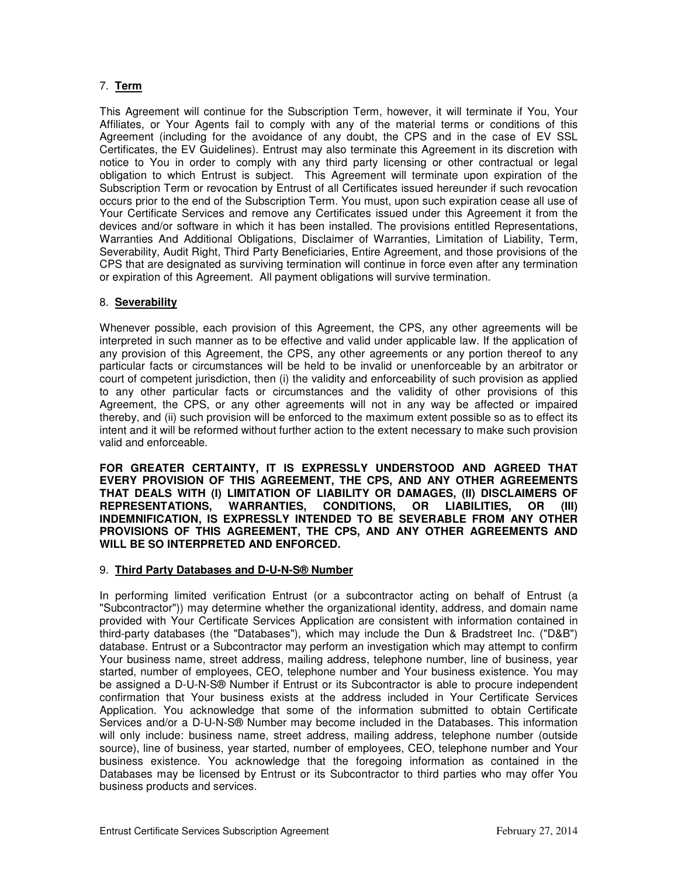# 7. **Term**

This Agreement will continue for the Subscription Term, however, it will terminate if You, Your Affiliates, or Your Agents fail to comply with any of the material terms or conditions of this Agreement (including for the avoidance of any doubt, the CPS and in the case of EV SSL Certificates, the EV Guidelines). Entrust may also terminate this Agreement in its discretion with notice to You in order to comply with any third party licensing or other contractual or legal obligation to which Entrust is subject. This Agreement will terminate upon expiration of the Subscription Term or revocation by Entrust of all Certificates issued hereunder if such revocation occurs prior to the end of the Subscription Term. You must, upon such expiration cease all use of Your Certificate Services and remove any Certificates issued under this Agreement it from the devices and/or software in which it has been installed. The provisions entitled Representations, Warranties And Additional Obligations, Disclaimer of Warranties, Limitation of Liability, Term, Severability, Audit Right, Third Party Beneficiaries, Entire Agreement, and those provisions of the CPS that are designated as surviving termination will continue in force even after any termination or expiration of this Agreement. All payment obligations will survive termination.

### 8. **Severability**

Whenever possible, each provision of this Agreement, the CPS, any other agreements will be interpreted in such manner as to be effective and valid under applicable law. If the application of any provision of this Agreement, the CPS, any other agreements or any portion thereof to any particular facts or circumstances will be held to be invalid or unenforceable by an arbitrator or court of competent jurisdiction, then (i) the validity and enforceability of such provision as applied to any other particular facts or circumstances and the validity of other provisions of this Agreement, the CPS, or any other agreements will not in any way be affected or impaired thereby, and (ii) such provision will be enforced to the maximum extent possible so as to effect its intent and it will be reformed without further action to the extent necessary to make such provision valid and enforceable.

**FOR GREATER CERTAINTY, IT IS EXPRESSLY UNDERSTOOD AND AGREED THAT EVERY PROVISION OF THIS AGREEMENT, THE CPS, AND ANY OTHER AGREEMENTS THAT DEALS WITH (I) LIMITATION OF LIABILITY OR DAMAGES, (II) DISCLAIMERS OF REPRESENTATIONS, WARRANTIES, CONDITIONS, OR LIABILITIES, OR (III) INDEMNIFICATION, IS EXPRESSLY INTENDED TO BE SEVERABLE FROM ANY OTHER PROVISIONS OF THIS AGREEMENT, THE CPS, AND ANY OTHER AGREEMENTS AND WILL BE SO INTERPRETED AND ENFORCED.** 

#### 9. **Third Party Databases and D-U-N-S® Number**

In performing limited verification Entrust (or a subcontractor acting on behalf of Entrust (a "Subcontractor")) may determine whether the organizational identity, address, and domain name provided with Your Certificate Services Application are consistent with information contained in third-party databases (the "Databases"), which may include the Dun & Bradstreet Inc. ("D&B") database. Entrust or a Subcontractor may perform an investigation which may attempt to confirm Your business name, street address, mailing address, telephone number, line of business, year started, number of employees, CEO, telephone number and Your business existence. You may be assigned a D-U-N-S® Number if Entrust or its Subcontractor is able to procure independent confirmation that Your business exists at the address included in Your Certificate Services Application. You acknowledge that some of the information submitted to obtain Certificate Services and/or a D-U-N-S® Number may become included in the Databases. This information will only include: business name, street address, mailing address, telephone number (outside source), line of business, year started, number of employees, CEO, telephone number and Your business existence. You acknowledge that the foregoing information as contained in the Databases may be licensed by Entrust or its Subcontractor to third parties who may offer You business products and services.